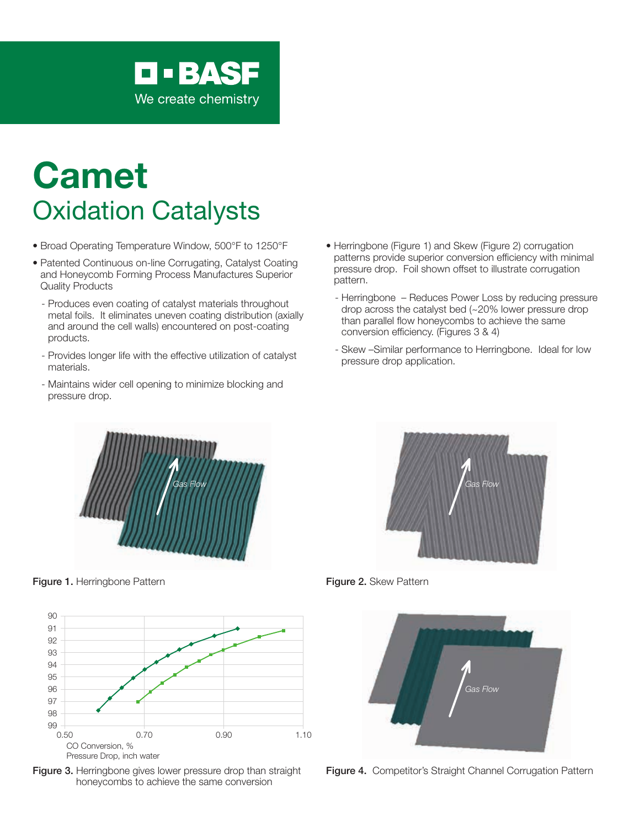

# Camet Oxidation Catalysts

- Broad Operating Temperature Window, 500°F to 1250°F
- Patented Continuous on-line Corrugating, Catalyst Coating and Honeycomb Forming Process Manufactures Superior Quality Products
	- Produces even coating of catalyst materials throughout metal foils. It eliminates uneven coating distribution (axially and around the cell walls) encountered on post-coating products.
	- Provides longer life with the effective utilization of catalyst materials.
	- Maintains wider cell opening to minimize blocking and pressure drop.
- Herringbone (Figure 1) and Skew (Figure 2) corrugation patterns provide superior conversion efficiency with minimal pressure drop. Foil shown offset to illustrate corrugation pattern.
	- Herringbone Reduces Power Loss by reducing pressure drop across the catalyst bed (~20% lower pressure drop than parallel flow honeycombs to achieve the same conversion efficiency. (Figures 3 & 4)
	- Skew –Similar performance to Herringbone. Ideal for low pressure drop application.



Figure 1. Herringbone Pattern **Figure 2. Skew Pattern** Figure 2. Skew Pattern









Figure 4. Competitor's Straight Channel Corrugation Pattern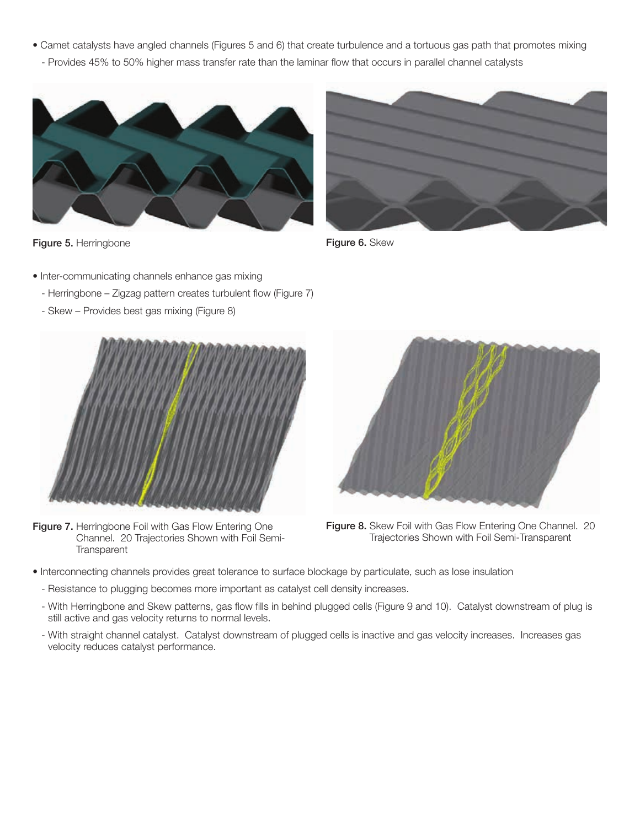• Camet catalysts have angled channels (Figures 5 and 6) that create turbulence and a tortuous gas path that promotes mixing - Provides 45% to 50% higher mass transfer rate than the laminar flow that occurs in parallel channel catalysts



Figure 5. Herringbone

- Inter-communicating channels enhance gas mixing
	- Herringbone Zigzag pattern creates turbulent flow (Figure 7)
	- Skew Provides best gas mixing (Figure 8)



Figure 7. Herringbone Foil with Gas Flow Entering One Channel. 20 Trajectories Shown with Foil Semi-**Transparent** 



Figure 6. Skew



Figure 8. Skew Foil with Gas Flow Entering One Channel. 20 Trajectories Shown with Foil Semi-Transparent

- Interconnecting channels provides great tolerance to surface blockage by particulate, such as lose insulation
	- Resistance to plugging becomes more important as catalyst cell density increases.
	- With Herringbone and Skew patterns, gas flow fills in behind plugged cells (Figure 9 and 10). Catalyst downstream of plug is still active and gas velocity returns to normal levels.
	- With straight channel catalyst. Catalyst downstream of plugged cells is inactive and gas velocity increases. Increases gas velocity reduces catalyst performance.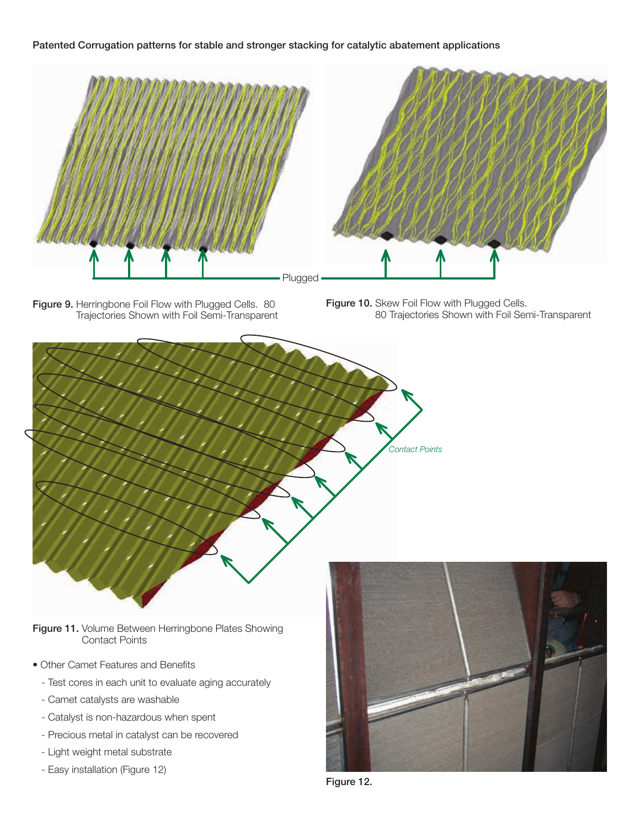#### Patented Corrugation patterns for stable and stronger stacking for catalytic abatement applications



Figure 9. Herringbone Foil Flow with Plugged Cells. 80 Trajectories Shown with Foil Semi-Transparent

Figure 10. Skew Foil Flow with Plugged Cells. 80 Trajectories Shown with Foil Semi-Transparent



Figure 11. Volume Between Herringbone Plates Showing Contact Points

- Other Camet Features and Benefits
	- Test cores in each unit to evaluate aging accurately
	- Camet catalysts are washable
	- Catalyst is non-hazardous when spent
	- Precious metal in catalyst can be recovered
	- Light weight metal substrate
	- Easy installation (Figure 12)



Figure 12.